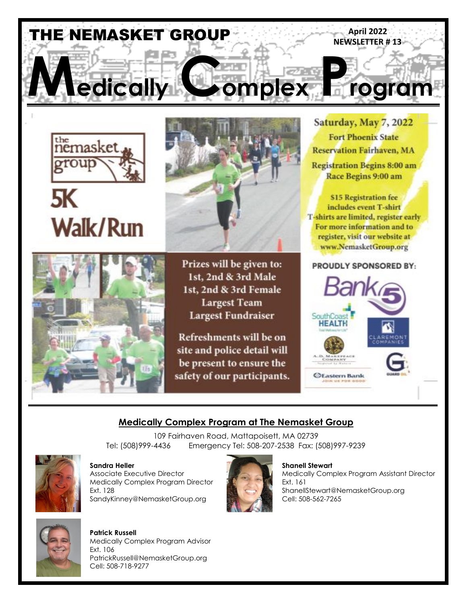

Prizes will be given to:

1st, 2nd & 3rd Male 1st, 2nd & 3rd Female **Largest Team Largest Fundraiser** 

**Refreshments will be on** site and police detail will be present to ensure the safety of our participants.



#### PROUDLY SPONSORED BY:



# **Medically Complex Program at The Nemasket Group**

109 Fairhaven Road, Mattapoisett, MA 02739 Tel: (508)999-4436 Emergency Tel: 508-207-2538 Fax: (508)997-9239



**Walk/Run** 

**Sandra Heller Shanell Stewart Shanell Stewart Shanell Stewart Shanell Stewart Company Company Shanell Stewart** Medically Complex Program Director **Ext. 161** Ext. 161 SandyKinney@NemasketGroup.org Cell: 508-562-7265



Medically Complex Program Assistant Director Ext. 128 ShanellStewart@NemasketGroup.org



**Patrick Russell** Medically Complex Program Advisor Ext. 106 PatrickRussell@NemasketGroup.org Cell: 508-718-9277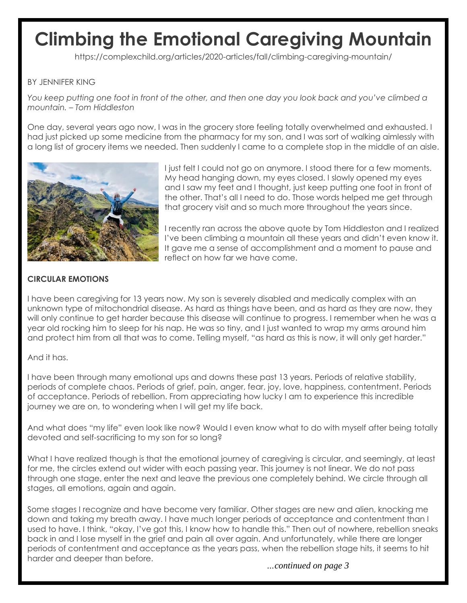# **Climbing the Emotional Caregiving Mountain**

https://complexchild.org/articles/2020-articles/fall/climbing-caregiving-mountain/

### BY JENNIFER KING

*You keep putting one foot in front of the other, and then one day you look back and you've climbed a mountain. – Tom Hiddleston*

One day, several years ago now, I was in the grocery store feeling totally overwhelmed and exhausted. I had just picked up some medicine from the pharmacy for my son, and I was sort of walking aimlessly with a long list of grocery items we needed. Then suddenly I came to a complete stop in the middle of an aisle.



I just felt I could not go on anymore. I stood there for a few moments. My head hanging down, my eyes closed. I slowly opened my eyes and I saw my feet and I thought, just keep putting one foot in front of the other. That's all I need to do. Those words helped me get through that grocery visit and so much more throughout the years since.

I recently ran across the above quote by Tom Hiddleston and I realized I've been climbing a mountain all these years and didn't even know it. It gave me a sense of accomplishment and a moment to pause and reflect on how far we have come.

#### **CIRCULAR EMOTIONS**

I have been caregiving for 13 years now. My son is severely disabled and medically complex with an unknown type of mitochondrial disease. As hard as things have been, and as hard as they are now, they will only continue to get harder because this disease will continue to progress. I remember when he was a year old rocking him to sleep for his nap. He was so tiny, and I just wanted to wrap my arms around him and protect him from all that was to come. Telling myself, "as hard as this is now, it will only get harder."

#### And it has.

I have been through many emotional ups and downs these past 13 years. Periods of relative stability, periods of complete chaos. Periods of grief, pain, anger, fear, joy, love, happiness, contentment. Periods of acceptance. Periods of rebellion. From appreciating how lucky I am to experience this incredible journey we are on, to wondering when I will get my life back.

And what does "my life" even look like now? Would I even know what to do with myself after being totally devoted and self-sacrificing to my son for so long?

What I have realized though is that the emotional journey of caregiving is circular, and seemingly, at least for me, the circles extend out wider with each passing year. This journey is not linear. We do not pass through one stage, enter the next and leave the previous one completely behind. We circle through all stages, all emotions, again and again.

Some stages I recognize and have become very familiar. Other stages are new and alien, knocking me down and taking my breath away. I have much longer periods of acceptance and contentment than I used to have. I think, "okay, I've got this, I know how to handle this." Then out of nowhere, rebellion sneaks back in and I lose myself in the grief and pain all over again. And unfortunately, while there are longer periods of contentment and acceptance as the years pass, when the rebellion stage hits, it seems to hit harder and deeper than before.

*…continued on page 3*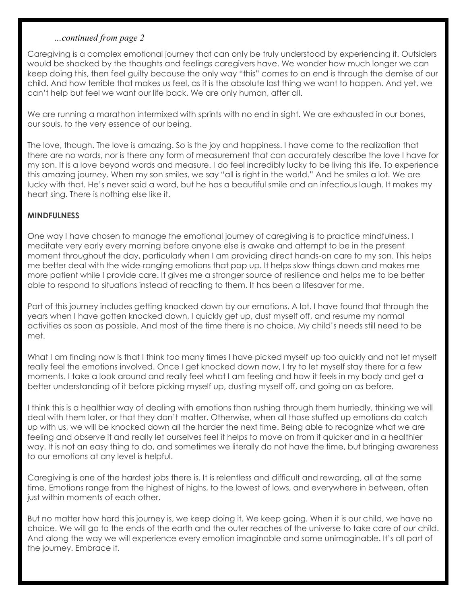#### *…continued from page 2*

Caregiving is a complex emotional journey that can only be truly understood by experiencing it. Outsiders would be shocked by the thoughts and feelings caregivers have. We wonder how much longer we can keep doing this, then feel guilty because the only way "this" comes to an end is through the demise of our child. And how terrible that makes us feel, as it is the absolute last thing we want to happen. And yet, we can't help but feel we want our life back. We are only human, after all.

We are running a marathon intermixed with sprints with no end in sight. We are exhausted in our bones, our souls, to the very essence of our being.

The love, though. The love is amazing. So is the joy and happiness. I have come to the realization that there are no words, nor is there any form of measurement that can accurately describe the love I have for my son. It is a love beyond words and measure. I do feel incredibly lucky to be living this life. To experience this amazing journey. When my son smiles, we say "all is right in the world." And he smiles a lot. We are lucky with that. He's never said a word, but he has a beautiful smile and an infectious laugh. It makes my heart sing. There is nothing else like it.

### **MINDFULNESS**

One way I have chosen to manage the emotional journey of caregiving is to practice mindfulness. I meditate very early every morning before anyone else is awake and attempt to be in the present moment throughout the day, particularly when I am providing direct hands-on care to my son. This helps me better deal with the wide-ranging emotions that pop up. It helps slow things down and makes me more patient while I provide care. It gives me a stronger source of resilience and helps me to be better able to respond to situations instead of reacting to them. It has been a lifesaver for me.

Part of this journey includes getting knocked down by our emotions. A lot. I have found that through the years when I have gotten knocked down, I quickly get up, dust myself off, and resume my normal activities as soon as possible. And most of the time there is no choice. My child's needs still need to be met.

What I am finding now is that I think too many times I have picked myself up too quickly and not let myself really feel the emotions involved. Once I get knocked down now, I try to let myself stay there for a few moments. I take a look around and really feel what I am feeling and how it feels in my body and get a better understanding of it before picking myself up, dusting myself off, and going on as before.

I think this is a healthier way of dealing with emotions than rushing through them hurriedly, thinking we will deal with them later, or that they don't matter. Otherwise, when all those stuffed up emotions do catch up with us, we will be knocked down all the harder the next time. Being able to recognize what we are feeling and observe it and really let ourselves feel it helps to move on from it quicker and in a healthier way. It is not an easy thing to do, and sometimes we literally do not have the time, but bringing awareness to our emotions at any level is helpful.

Caregiving is one of the hardest jobs there is. It is relentless and difficult and rewarding, all at the same time. Emotions range from the highest of highs, to the lowest of lows, and everywhere in between, often just within moments of each other.

But no matter how hard this journey is, we keep doing it. We keep going. When it is our child, we have no choice. We will go to the ends of the earth and the outer reaches of the universe to take care of our child. And along the way we will experience every emotion imaginable and some unimaginable. It's all part of the journey. Embrace it.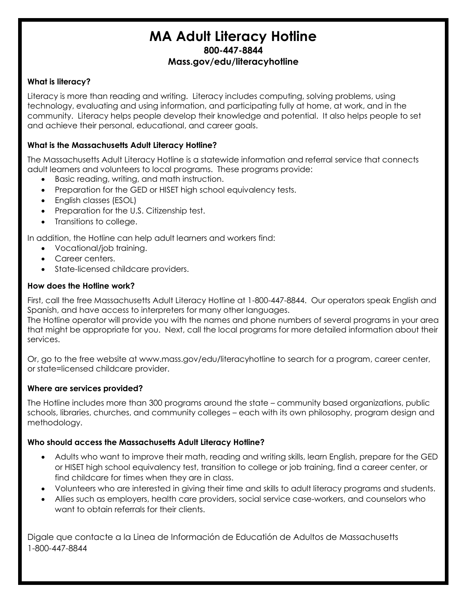# **MA Adult Literacy Hotline 800-447-8844 Mass.gov/edu/literacyhotline**

# **What is literacy?**

Literacy is more than reading and writing. Literacy includes computing, solving problems, using technology, evaluating and using information, and participating fully at home, at work, and in the community. Literacy helps people develop their knowledge and potential. It also helps people to set and achieve their personal, educational, and career goals.

## **What is the Massachusetts Adult Literacy Hotline?**

The Massachusetts Adult Literacy Hotline is a statewide information and referral service that connects adult learners and volunteers to local programs. These programs provide:

- Basic reading, writing, and math instruction.
- Preparation for the GED or HISET high school equivalency tests.
- English classes (ESOL)
- Preparation for the U.S. Citizenship test.
- Transitions to college.

In addition, the Hotline can help adult learners and workers find:

- Vocational/job training.
- Career centers.
- State-licensed childcare providers.

#### **How does the Hotline work?**

First, call the free Massachusetts Adult Literacy Hotline at 1-800-447-8844. Our operators speak English and Spanish, and have access to interpreters for many other languages.

The Hotline operator will provide you with the names and phone numbers of several programs in your area that might be appropriate for you. Next, call the local programs for more detailed information about their services.

Or, go to the free website at [www.mass.gov/edu/literacyhotline](http://www.mass.gov/edu/literacyhotline) to search for a program, career center, or state=licensed childcare provider.

## **Where are services provided?**

The Hotline includes more than 300 programs around the state – community based organizations, public schools, libraries, churches, and community colleges – each with its own philosophy, program design and methodology.

## **Who should access the Massachusetts Adult Literacy Hotline?**

- Adults who want to improve their math, reading and writing skills, learn English, prepare for the GED or HISET high school equivalency test, transition to college or job training, find a career center, or find childcare for times when they are in class.
- Volunteers who are interested in giving their time and skills to adult literacy programs and students.
- Allies such as employers, health care providers, social service case-workers, and counselors who want to obtain referrals for their clients.

Digale que contacte a la Linea de Información de Educatión de Adultos de Massachusetts 1-800-447-8844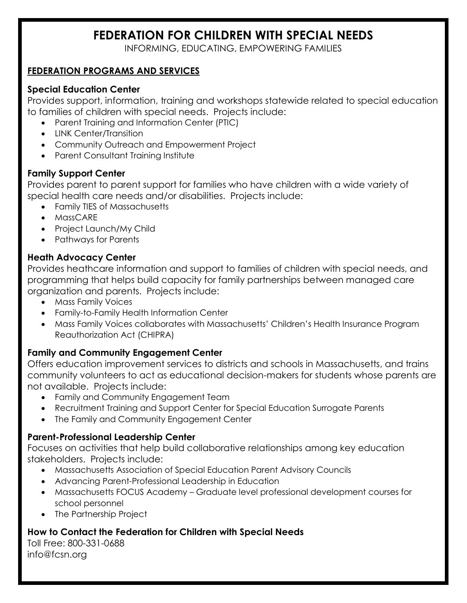# **FEDERATION FOR CHILDREN WITH SPECIAL NEEDS**

INFORMING, EDUCATING, EMPOWERING FAMILIES

# **FEDERATION PROGRAMS AND SERVICES**

# **Special Education Center**

Provides support, information, training and workshops statewide related to special education to families of children with special needs. Projects include:

- Parent Training and Information Center (PTIC)
- LINK Center/Transition
- Community Outreach and Empowerment Project
- Parent Consultant Training Institute

# **Family Support Center**

Provides parent to parent support for families who have children with a wide variety of special health care needs and/or disabilities. Projects include:

- Family TIES of Massachusetts
- MassCARE
- Project Launch/My Child
- Pathways for Parents

# **Heath Advocacy Center**

Provides heathcare information and support to families of children with special needs, and programming that helps build capacity for family partnerships between managed care organization and parents. Projects include:

- Mass Family Voices
- Family-to-Family Health Information Center
- Mass Family Voices collaborates with Massachusetts' Children's Health Insurance Program Reauthorization Act (CHIPRA)

# **Family and Community Engagement Center**

Offers education improvement services to districts and schools in Massachusetts, and trains community volunteers to act as educational decision-makers for students whose parents are not available. Projects include:

- Family and Community Engagement Team
- Recruitment Training and Support Center for Special Education Surrogate Parents
- The Family and Community Engagement Center

# **Parent-Professional Leadership Center**

Focuses on activities that help build collaborative relationships among key education stakeholders. Projects include:

- Massachusetts Association of Special Education Parent Advisory Councils
- Advancing Parent-Professional Leadership in Education
- Massachusetts FOCUS Academy Graduate level professional development courses for school personnel
- The Partnership Project

# **How to Contact the Federation for Children with Special Needs**

Toll Free: 800-331-0688 info@fcsn.org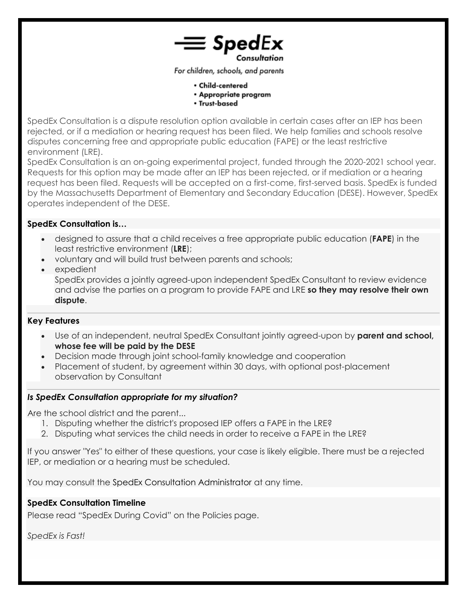

For children, schools, and parents

- · Child-centered
- Appropriate program
- Trust-based

SpedEx Consultation is a dispute resolution option available in certain cases after an IEP has been rejected, or if a mediation or hearing request has been filed. We help families and schools resolve disputes concerning free and appropriate public education (FAPE) or the least restrictive environment (LRE).

SpedEx Consultation is an on-going experimental project, funded through the 2020-2021 school year. Requests for this option may be made after an IEP has been rejected, or if mediation or a hearing request has been filed. Requests will be accepted on a first-come, first-served basis. SpedEx is funded by the Massachusetts Department of Elementary and Secondary Education (DESE). However, SpedEx operates independent of the DESE.

#### **SpedEx Consultation is…**

- designed to assure that a child receives a free appropriate public education (**FAPE**) in the least restrictive environment (**LRE**);
- voluntary and will build trust between parents and schools;
- expedient

SpedEx provides a jointly agreed-upon independent SpedEx Consultant to review evidence and advise the parties on a program to provide FAPE and LRE **so they may resolve their own dispute**.

#### **Key Features**

- Use of an independent, neutral SpedEx Consultant jointly agreed-upon by **parent and school, whose fee will be paid by the DESE**
- Decision made through joint school-family knowledge and cooperation
- Placement of student, by agreement within 30 days, with optional post-placement observation by Consultant

#### *Is SpedEx Consultation appropriate for my situation?*

Are the school district and the parent...

- 1. Disputing whether the district's proposed IEP offers a FAPE in the LRE?
- 2. Disputing what services the child needs in order to receive a FAPE in the LRE?

If you answer "Yes" to either of these questions, your case is likely eligible. There must be a rejected IEP, or mediation or a hearing must be scheduled.

You may consult the [SpedEx Consultation Administrator](https://spedex.squarespace.com/contact) at any time.

#### **SpedEx Consultation Timeline**

Please read "SpedEx During Covid" on the Policies page.

*SpedEx is Fast!*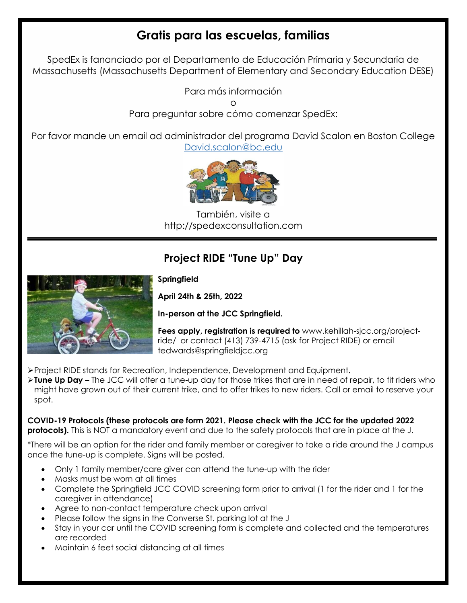# **Gratis para las escuelas, familias**

SpedEx is fananciado por el Departamento de Educación Primaria y Secundaria de Massachusetts (Massachusetts Department of Elementary and Secondary Education DESE)

Para más información

o

Para preguntar sobre cómo comenzar SpedEx:

Por favor mande un email ad administrador del programa David Scalon en Boston College [David.scalon@bc.edu](mailto:David.scalon@bc.edu)



También, visite a http://spedexconsultation.com

# **Project RIDE "Tune Up" Day**



# **Springfield**

**April 24th & 25th, 2022**

**In-person at the JCC Springfield.**

**Fees apply, registration is required to** www.kehillah-sjcc.org/projectride/ or contact (413) 739-4715 (ask for Project RIDE) or email tedwards@springfieldjcc.org

- Project RIDE stands for Recreation, Independence, Development and Equipment.
- **Tune Up Day –** The JCC will offer a tune-up day for those trikes that are in need of repair, to fit riders who might have grown out of their current trike, and to offer trikes to new riders. Call or email to reserve your spot.

## **COVID-19 Protocols (these protocols are form 2021. Please check with the JCC for the updated 2022 protocols).** This is NOT a mandatory event and due to the safety protocols that are in place at the J.

\*There will be an option for the rider and family member or caregiver to take a ride around the J campus once the tune-up is complete. Signs will be posted.

- Only 1 family member/care giver can attend the tune-up with the rider
- Masks must be worn at all times
- Complete the Springfield JCC COVID screening form prior to arrival (1 for the rider and 1 for the caregiver in attendance)
- Agree to non-contact temperature check upon arrival
- Please follow the signs in the Converse St. parking lot at the J
- Stay in your car until the COVID screening form is complete and collected and the temperatures are recorded
- Maintain 6 feet social distancing at all times